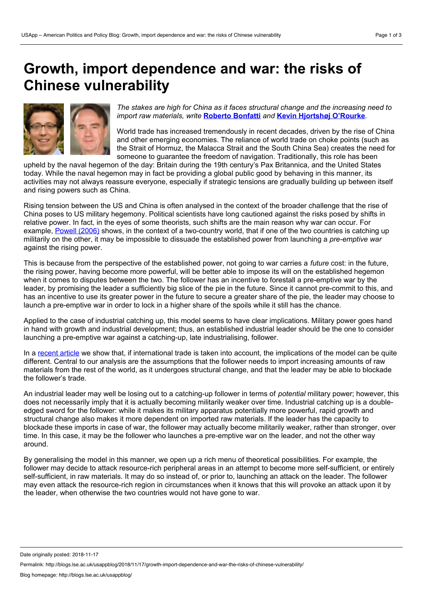# **Growth, import dependence and war: the risks of Chinese vulnerability**



*The stakes are high for China as it faces structural change and the increasing need to import raw materials, write* **[Roberto](https://wp.me/p3I2YF-8ku#Author) Bonfatti** *and* **Kevin Hjortshøj [O'Rourke](https://wp.me/p3I2YF-8ku#Author)***.*

World trade has increased tremendously in recent decades, driven by the rise of China and other emerging economies. The reliance of world trade on choke points (such as the Strait of Hormuz, the Malacca Strait and the South China Sea) creates the need for someone to guarantee the freedom of navigation. Traditionally, this role has been

upheld by the naval hegemon of the day: Britain during the 19th century's Pax Britannica, and the United States today. While the naval hegemon may in fact be providing a global public good by behaving in this manner, its activities may not always reassure everyone, especially if strategic tensions are gradually building up between itself and rising powers such as China.

Rising tension between the US and China is often analysed in the context of the broader challenge that the rise of China poses to US military hegemony. Political scientists have long cautioned against the risks posed by shifts in relative power. In fact, in the eyes of some theorists, such shifts are the main reason why war can occur. For example, [Powell](https://www.cambridge.org/core/journals/international-organization/article/war-as-a-commitment-problem/65DFFF1CD73A16F7ED4EEF6D4F934608) (2006) shows, in the context of a two-country world, that if one of the two countries is catching up militarily on the other, it may be impossible to dissuade the established power from launching a *pre-emptive war* against the rising power.

This is because from the perspective of the established power, not going to war carries a *future* cost: in the future, the rising power, having become more powerful, will be better able to impose its will on the established hegemon when it comes to disputes between the two. The follower has an incentive to forestall a pre-emptive war by the leader, by promising the leader a sufficiently big slice of the pie in the future. Since it cannot pre-commit to this, and has an incentive to use its greater power in the future to secure a greater share of the pie, the leader may choose to launch a pre-emptive war in order to lock in a higher share of the spoils while it still has the chance.

Applied to the case of industrial catching up, this model seems to have clear implications. Military power goes hand in hand with growth and industrial development; thus, an established industrial leader should be the one to consider launching a pre-emptive war against a catching-up, late industrialising, follower.

In a [recent](https://onlinelibrary.wiley.com/doi/abs/10.1111/ecoj.12511) article we show that, if international trade is taken into account, the implications of the model can be quite different. Central to our analysis are the assumptions that the follower needs to import increasing amounts of raw materials from the rest of the world, as it undergoes structural change, and that the leader may be able to blockade the follower's trade.

An industrial leader may well be losing out to a catching-up follower in terms of *potential* military power; however, this does not necessarily imply that it is actually becoming militarily weaker over time. Industrial catching up is a doubleedged sword for the follower: while it makes its military apparatus potentially more powerful, rapid growth and structural change also makes it more dependent on imported raw materials. If the leader has the capacity to blockade these imports in case of war, the follower may actually become militarily weaker, rather than stronger, over time. In this case, it may be the follower who launches a pre-emptive war on the leader, and not the other way around.

By generalising the model in this manner, we open up a rich menu of theoretical possibilities. For example, the follower may decide to attack resource-rich peripheral areas in an attempt to become more self-sufficient, or entirely self-sufficient, in raw materials. It may do so instead of, or prior to, launching an attack on the leader. The follower may even attack the resource-rich region in circumstances when it knows that this will provoke an attack upon it by the leader, when otherwise the two countries would not have gone to war.

Date originally posted: 2018-11-17

Permalink: http://blogs.lse.ac.uk/usappblog/2018/11/17/growth-import-dependence-and-war-the-risks-of-chinese-vulnerability/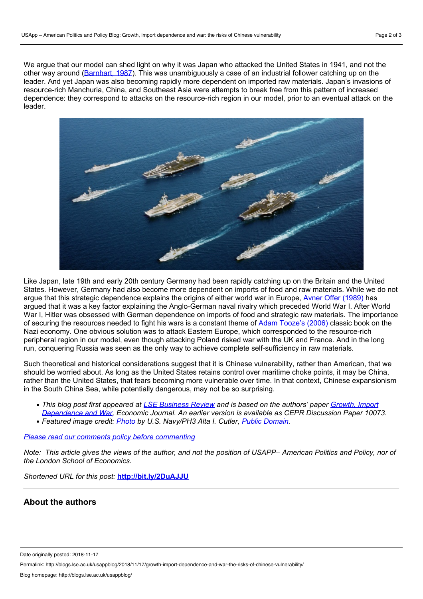We argue that our model can shed light on why it was Japan who attacked the United States in 1941, and not the other way around [\(Barnhart,](http://www.cornellpress.cornell.edu/book/?GCOI=80140100030370) 1987). This was unambiguously a case of an industrial follower catching up on the leader. And yet Japan was also becoming rapidly more dependent on imported raw materials. Japan's invasions of resource-rich Manchuria, China, and Southeast Asia were attempts to break free from this pattern of increased dependence: they correspond to attacks on the resource-rich region in ourmodel, prior to an eventual attack on the leader.



Like Japan, late 19th and early 20th century Germany had been rapidly catching up on the Britain and the United States. However, Germany had also become more dependent on imports of food and raw materials. While we do not argue that this strategic dependence explains the origins of either world war in Europe, Avner Offer [\(1989\)](https://www.amazon.co.uk/First-World-War-Interpretation-Paperbacks/dp/0198202792) has argued that it was a key factor explaining the Anglo-German naval rivalry which preceded World War I. After World War I, Hitler was obsessed with German dependence on imports of food and strategic raw materials. The importance of securing the resources needed to fight his wars is a constant theme of Adam [Tooze's](https://www.penguin.co.uk/books/53768/the-wages-of-destruction/9780141040929.html) (2006) classic book on the Nazi economy. One obvious solution was to attack Eastern Europe, which corresponded to the resource-rich peripheral region in our model, even though attacking Poland risked war with the UK and France. And in the long run, conquering Russia was seen as the only way to achieve complete self-sufficiency in raw materials.

Such theoretical and historical considerations suggest that it is Chinese vulnerability, rather than American, that we should be worried about. As long as the United States retains control over maritime choke points, it may be China, rather than the United States, that fears becoming more vulnerable over time. In that context, Chinese expansionism in the South China Sea, while potentially dangerous, may not be so surprising.

- This blog post first appeared at LSE [Business](http://blogs.lse.ac.uk/businessreview/2018/11/13/growth-import-dependence-and-war-the-risks-of-chinese-vulnerability/) Review and is based on the authors' paper Growth, Import *[Dependence](https://onlinelibrary.wiley.com/doi/abs/10.1111/ecoj.12511) and War, Economic Journal. An earlier version is available as CEPR Discussion Paper 10073.*
- *Featured image credit: [Photo](https://en.wikipedia.org/wiki/Naval_tactics#/media/File:Fleet_5_nations.jpg) by U.S. Navy/PH3 Alta I. Cutler, Public [Domain.](https://en.wikipedia.org/wiki/Public_domain)*

#### *Please read our comments policy before [commenting](http://blogs.lse.ac.uk/usappblog/comments-policy/)*

Note: This article gives the views of the author, and not the position of USAPP- American Politics and Policy, nor of *the London School of Economics.*

*Shortened URL for this post:* **<http://bit.ly/2DuAJJU>**

## **About the authors**

Date originally posted: 2018-11-17

Permalink: http://blogs.lse.ac.uk/usappblog/2018/11/17/growth-import-dependence-and-war-the-risks-of-chinese-vulnerability/